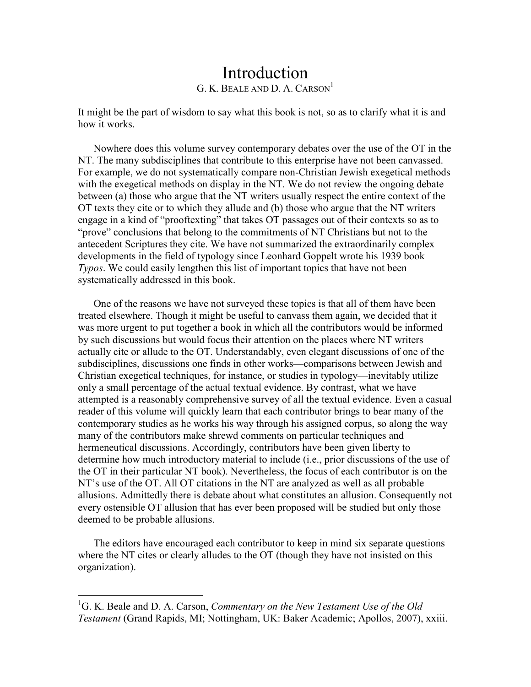## Introduction G. K. BEALE AND  $D$ . A. CARSON<sup>1</sup>

It might be the part of wisdom to say what this book is not, so as to clarify what it is and how it works.

Nowhere does this volume survey contemporary debates over the use of the OT in the NT. The many subdisciplines that contribute to this enterprise have not been canvassed. For example, we do not systematically compare non-Christian Jewish exegetical methods with the exegetical methods on display in the NT. We do not review the ongoing debate between (a) those who argue that the NT writers usually respect the entire context of the OT texts they cite or to which they allude and (b) those who argue that the NT writers engage in a kind of "prooftexting" that takes OT passages out of their contexts so as to "prove" conclusions that belong to the commitments of NT Christians but not to the antecedent Scriptures they cite. We have not summarized the extraordinarily complex developments in the field of typology since Leonhard Goppelt wrote his 1939 book *Typos*. We could easily lengthen this list of important topics that have not been systematically addressed in this book.

One of the reasons we have not surveyed these topics is that all of them have been treated elsewhere. Though it might be useful to canvass them again, we decided that it was more urgent to put together a book in which all the contributors would be informed by such discussions but would focus their attention on the places where NT writers actually cite or allude to the OT. Understandably, even elegant discussions of one of the subdisciplines, discussions one finds in other works—comparisons between Jewish and Christian exegetical techniques, for instance, or studies in typology—inevitably utilize only a small percentage of the actual textual evidence. By contrast, what we have attempted is a reasonably comprehensive survey of all the textual evidence. Even a casual reader of this volume will quickly learn that each contributor brings to bear many of the contemporary studies as he works his way through his assigned corpus, so along the way many of the contributors make shrewd comments on particular techniques and hermeneutical discussions. Accordingly, contributors have been given liberty to determine how much introductory material to include (i.e., prior discussions of the use of the OT in their particular NT book). Nevertheless, the focus of each contributor is on the NT's use of the OT. All OT citations in the NT are analyzed as well as all probable allusions. Admittedly there is debate about what constitutes an allusion. Consequently not every ostensible OT allusion that has ever been proposed will be studied but only those deemed to be probable allusions.

The editors have encouraged each contributor to keep in mind six separate questions where the NT cites or clearly alludes to the OT (though they have not insisted on this organization).

-

 ${}^{1}G$ . K. Beale and D. A. Carson, *Commentary on the New Testament Use of the Old Testament* (Grand Rapids, MI; Nottingham, UK: Baker Academic; Apollos, 2007), xxiii.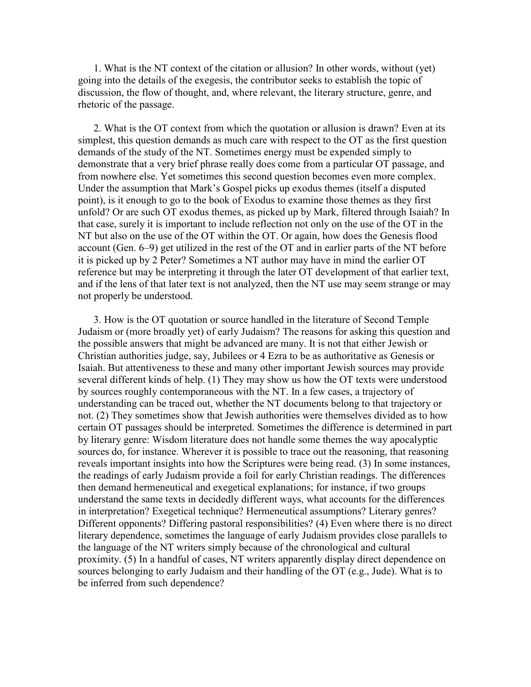1. What is the NT context of the citation or allusion? In other words, without (yet) going into the details of the exegesis, the contributor seeks to establish the topic of discussion, the flow of thought, and, where relevant, the literary structure, genre, and rhetoric of the passage.

2. What is the OT context from which the quotation or allusion is drawn? Even at its simplest, this question demands as much care with respect to the OT as the first question demands of the study of the NT. Sometimes energy must be expended simply to demonstrate that a very brief phrase really does come from a particular OT passage, and from nowhere else. Yet sometimes this second question becomes even more complex. Under the assumption that Mark's Gospel picks up exodus themes (itself a disputed point), is it enough to go to the book of Exodus to examine those themes as they first unfold? Or are such OT exodus themes, as picked up by Mark, filtered through Isaiah? In that case, surely it is important to include reflection not only on the use of the OT in the NT but also on the use of the OT within the OT. Or again, how does the Genesis flood account (Gen. 6–9) get utilized in the rest of the OT and in earlier parts of the NT before it is picked up by 2 Peter? Sometimes a NT author may have in mind the earlier OT reference but may be interpreting it through the later OT development of that earlier text, and if the lens of that later text is not analyzed, then the NT use may seem strange or may not properly be understood.

3. How is the OT quotation or source handled in the literature of Second Temple Judaism or (more broadly yet) of early Judaism? The reasons for asking this question and the possible answers that might be advanced are many. It is not that either Jewish or Christian authorities judge, say, Jubilees or 4 Ezra to be as authoritative as Genesis or Isaiah. But attentiveness to these and many other important Jewish sources may provide several different kinds of help. (1) They may show us how the OT texts were understood by sources roughly contemporaneous with the NT. In a few cases, a trajectory of understanding can be traced out, whether the NT documents belong to that trajectory or not. (2) They sometimes show that Jewish authorities were themselves divided as to how certain OT passages should be interpreted. Sometimes the difference is determined in part by literary genre: Wisdom literature does not handle some themes the way apocalyptic sources do, for instance. Wherever it is possible to trace out the reasoning, that reasoning reveals important insights into how the Scriptures were being read. (3) In some instances, the readings of early Judaism provide a foil for early Christian readings. The differences then demand hermeneutical and exegetical explanations; for instance, if two groups understand the same texts in decidedly different ways, what accounts for the differences in interpretation? Exegetical technique? Hermeneutical assumptions? Literary genres? Different opponents? Differing pastoral responsibilities? (4) Even where there is no direct literary dependence, sometimes the language of early Judaism provides close parallels to the language of the NT writers simply because of the chronological and cultural proximity. (5) In a handful of cases, NT writers apparently display direct dependence on sources belonging to early Judaism and their handling of the OT (e.g., Jude). What is to be inferred from such dependence?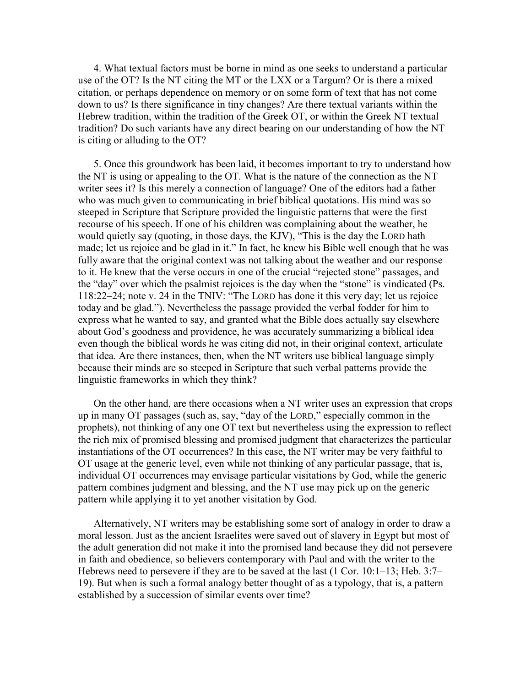4. What textual factors must be borne in mind as one seeks to understand a particular use of the OT? Is the NT citing the MT or the LXX or a Targum? Or is there a mixed citation, or perhaps dependence on memory or on some form of text that has not come down to us? Is there significance in tiny changes? Are there textual variants within the Hebrew tradition, within the tradition of the Greek OT, or within the Greek NT textual tradition? Do such variants have any direct bearing on our understanding of how the NT is citing or alluding to the OT?

5. Once this groundwork has been laid, it becomes important to try to understand how the NT is using or appealing to the OT. What is the nature of the connection as the NT writer sees it? Is this merely a connection of language? One of the editors had a father who was much given to communicating in brief biblical quotations. His mind was so steeped in Scripture that Scripture provided the linguistic patterns that were the first recourse of his speech. If one of his children was complaining about the weather, he would quietly say (quoting, in those days, the KJV), "This is the day the LORD hath made; let us rejoice and be glad in it." In fact, he knew his Bible well enough that he was fully aware that the original context was not talking about the weather and our response to it. He knew that the verse occurs in one of the crucial "rejected stone" passages, and the "day" over which the psalmist rejoices is the day when the "stone" is vindicated (Ps. 118:22–24; note v. 24 in the TNIV: "The LORD has done it this very day; let us rejoice today and be glad."). Nevertheless the passage provided the verbal fodder for him to express what he wanted to say, and granted what the Bible does actually say elsewhere about God's goodness and providence, he was accurately summarizing a biblical idea even though the biblical words he was citing did not, in their original context, articulate that idea. Are there instances, then, when the NT writers use biblical language simply because their minds are so steeped in Scripture that such verbal patterns provide the linguistic frameworks in which they think?

On the other hand, are there occasions when a NT writer uses an expression that crops up in many OT passages (such as, say, "day of the LORD," especially common in the prophets), not thinking of any one OT text but nevertheless using the expression to reflect the rich mix of promised blessing and promised judgment that characterizes the particular instantiations of the OT occurrences? In this case, the NT writer may be very faithful to OT usage at the generic level, even while not thinking of any particular passage, that is, individual OT occurrences may envisage particular visitations by God, while the generic pattern combines judgment and blessing, and the NT use may pick up on the generic pattern while applying it to yet another visitation by God.

Alternatively, NT writers may be establishing some sort of analogy in order to draw a moral lesson. Just as the ancient Israelites were saved out of slavery in Egypt but most of the adult generation did not make it into the promised land because they did not persevere in faith and obedience, so believers contemporary with Paul and with the writer to the Hebrews need to persevere if they are to be saved at the last (1 Cor. 10:1–13; Heb. 3:7– 19). But when is such a formal analogy better thought of as a typology, that is, a pattern established by a succession of similar events over time?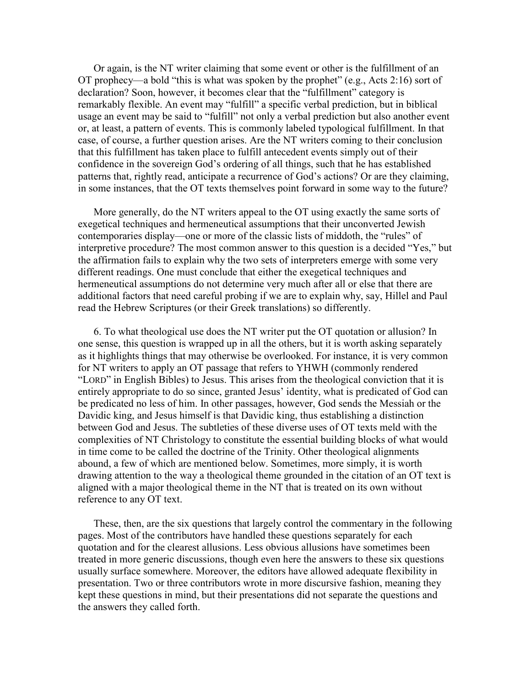Or again, is the NT writer claiming that some event or other is the fulfillment of an OT prophecy—a bold "this is what was spoken by the prophet" (e.g., Acts 2:16) sort of declaration? Soon, however, it becomes clear that the "fulfillment" category is remarkably flexible. An event may "fulfill" a specific verbal prediction, but in biblical usage an event may be said to "fulfill" not only a verbal prediction but also another event or, at least, a pattern of events. This is commonly labeled typological fulfillment. In that case, of course, a further question arises. Are the NT writers coming to their conclusion that this fulfillment has taken place to fulfill antecedent events simply out of their confidence in the sovereign God's ordering of all things, such that he has established patterns that, rightly read, anticipate a recurrence of God's actions? Or are they claiming, in some instances, that the OT texts themselves point forward in some way to the future?

More generally, do the NT writers appeal to the OT using exactly the same sorts of exegetical techniques and hermeneutical assumptions that their unconverted Jewish contemporaries display—one or more of the classic lists of middoth, the "rules" of interpretive procedure? The most common answer to this question is a decided "Yes," but the affirmation fails to explain why the two sets of interpreters emerge with some very different readings. One must conclude that either the exegetical techniques and hermeneutical assumptions do not determine very much after all or else that there are additional factors that need careful probing if we are to explain why, say, Hillel and Paul read the Hebrew Scriptures (or their Greek translations) so differently.

6. To what theological use does the NT writer put the OT quotation or allusion? In one sense, this question is wrapped up in all the others, but it is worth asking separately as it highlights things that may otherwise be overlooked. For instance, it is very common for NT writers to apply an OT passage that refers to YHWH (commonly rendered "LORD" in English Bibles) to Jesus. This arises from the theological conviction that it is entirely appropriate to do so since, granted Jesus' identity, what is predicated of God can be predicated no less of him. In other passages, however, God sends the Messiah or the Davidic king, and Jesus himself is that Davidic king, thus establishing a distinction between God and Jesus. The subtleties of these diverse uses of OT texts meld with the complexities of NT Christology to constitute the essential building blocks of what would in time come to be called the doctrine of the Trinity. Other theological alignments abound, a few of which are mentioned below. Sometimes, more simply, it is worth drawing attention to the way a theological theme grounded in the citation of an OT text is aligned with a major theological theme in the NT that is treated on its own without reference to any OT text.

These, then, are the six questions that largely control the commentary in the following pages. Most of the contributors have handled these questions separately for each quotation and for the clearest allusions. Less obvious allusions have sometimes been treated in more generic discussions, though even here the answers to these six questions usually surface somewhere. Moreover, the editors have allowed adequate flexibility in presentation. Two or three contributors wrote in more discursive fashion, meaning they kept these questions in mind, but their presentations did not separate the questions and the answers they called forth.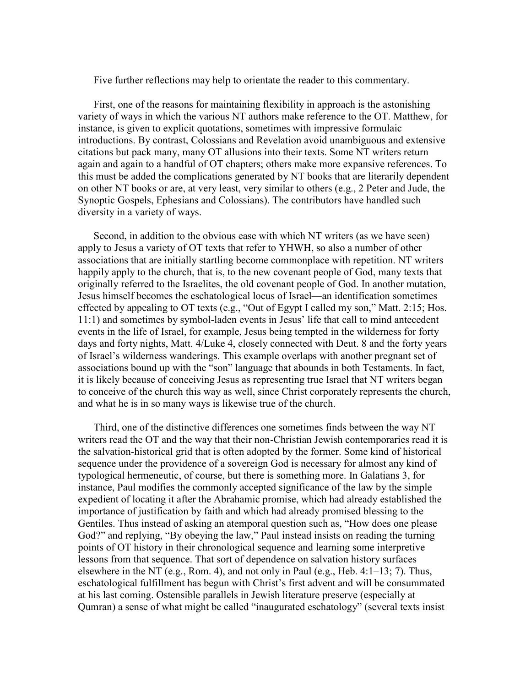Five further reflections may help to orientate the reader to this commentary.

First, one of the reasons for maintaining flexibility in approach is the astonishing variety of ways in which the various NT authors make reference to the OT. Matthew, for instance, is given to explicit quotations, sometimes with impressive formulaic introductions. By contrast, Colossians and Revelation avoid unambiguous and extensive citations but pack many, many OT allusions into their texts. Some NT writers return again and again to a handful of OT chapters; others make more expansive references. To this must be added the complications generated by NT books that are literarily dependent on other NT books or are, at very least, very similar to others (e.g., 2 Peter and Jude, the Synoptic Gospels, Ephesians and Colossians). The contributors have handled such diversity in a variety of ways.

Second, in addition to the obvious ease with which NT writers (as we have seen) apply to Jesus a variety of OT texts that refer to YHWH, so also a number of other associations that are initially startling become commonplace with repetition. NT writers happily apply to the church, that is, to the new covenant people of God, many texts that originally referred to the Israelites, the old covenant people of God. In another mutation, Jesus himself becomes the eschatological locus of Israel—an identification sometimes effected by appealing to OT texts (e.g., "Out of Egypt I called my son," Matt. 2:15; Hos. 11:1) and sometimes by symbol-laden events in Jesus' life that call to mind antecedent events in the life of Israel, for example, Jesus being tempted in the wilderness for forty days and forty nights, Matt. 4/Luke 4, closely connected with Deut. 8 and the forty years of Israel's wilderness wanderings. This example overlaps with another pregnant set of associations bound up with the "son" language that abounds in both Testaments. In fact, it is likely because of conceiving Jesus as representing true Israel that NT writers began to conceive of the church this way as well, since Christ corporately represents the church, and what he is in so many ways is likewise true of the church.

Third, one of the distinctive differences one sometimes finds between the way NT writers read the OT and the way that their non-Christian Jewish contemporaries read it is the salvation-historical grid that is often adopted by the former. Some kind of historical sequence under the providence of a sovereign God is necessary for almost any kind of typological hermeneutic, of course, but there is something more. In Galatians 3, for instance, Paul modifies the commonly accepted significance of the law by the simple expedient of locating it after the Abrahamic promise, which had already established the importance of justification by faith and which had already promised blessing to the Gentiles. Thus instead of asking an atemporal question such as, "How does one please God?" and replying, "By obeying the law," Paul instead insists on reading the turning points of OT history in their chronological sequence and learning some interpretive lessons from that sequence. That sort of dependence on salvation history surfaces elsewhere in the NT (e.g., Rom. 4), and not only in Paul (e.g., Heb. 4:1–13; 7). Thus, eschatological fulfillment has begun with Christ's first advent and will be consummated at his last coming. Ostensible parallels in Jewish literature preserve (especially at Qumran) a sense of what might be called "inaugurated eschatology" (several texts insist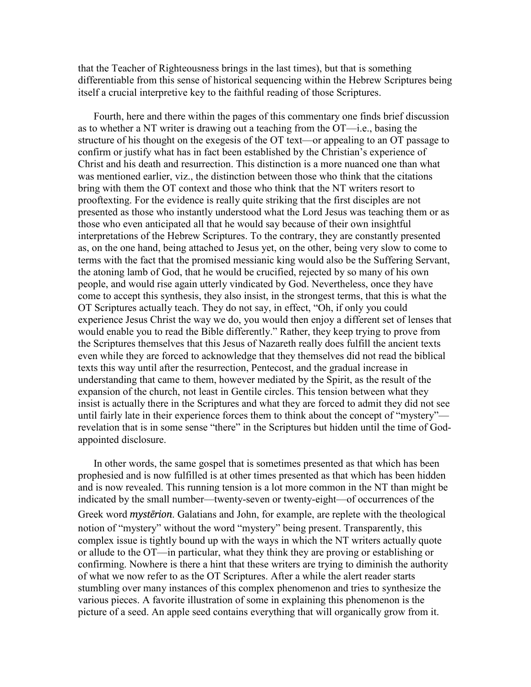that the Teacher of Righteousness brings in the last times), but that is something differentiable from this sense of historical sequencing within the Hebrew Scriptures being itself a crucial interpretive key to the faithful reading of those Scriptures.

Fourth, here and there within the pages of this commentary one finds brief discussion as to whether a NT writer is drawing out a teaching from the OT—i.e., basing the structure of his thought on the exegesis of the OT text—or appealing to an OT passage to confirm or justify what has in fact been established by the Christian's experience of Christ and his death and resurrection. This distinction is a more nuanced one than what was mentioned earlier, viz., the distinction between those who think that the citations bring with them the OT context and those who think that the NT writers resort to prooftexting. For the evidence is really quite striking that the first disciples are not presented as those who instantly understood what the Lord Jesus was teaching them or as those who even anticipated all that he would say because of their own insightful interpretations of the Hebrew Scriptures. To the contrary, they are constantly presented as, on the one hand, being attached to Jesus yet, on the other, being very slow to come to terms with the fact that the promised messianic king would also be the Suffering Servant, the atoning lamb of God, that he would be crucified, rejected by so many of his own people, and would rise again utterly vindicated by God. Nevertheless, once they have come to accept this synthesis, they also insist, in the strongest terms, that this is what the OT Scriptures actually teach. They do not say, in effect, "Oh, if only you could experience Jesus Christ the way we do, you would then enjoy a different set of lenses that would enable you to read the Bible differently." Rather, they keep trying to prove from the Scriptures themselves that this Jesus of Nazareth really does fulfill the ancient texts even while they are forced to acknowledge that they themselves did not read the biblical texts this way until after the resurrection, Pentecost, and the gradual increase in understanding that came to them, however mediated by the Spirit, as the result of the expansion of the church, not least in Gentile circles. This tension between what they insist is actually there in the Scriptures and what they are forced to admit they did not see until fairly late in their experience forces them to think about the concept of "mystery" revelation that is in some sense "there" in the Scriptures but hidden until the time of Godappointed disclosure.

In other words, the same gospel that is sometimes presented as that which has been prophesied and is now fulfilled is at other times presented as that which has been hidden and is now revealed. This running tension is a lot more common in the NT than might be indicated by the small number—twenty-seven or twenty-eight—of occurrences of the Greek word *mystērion*. Galatians and John, for example, are replete with the theological notion of "mystery" without the word "mystery" being present. Transparently, this complex issue is tightly bound up with the ways in which the NT writers actually quote or allude to the OT—in particular, what they think they are proving or establishing or confirming. Nowhere is there a hint that these writers are trying to diminish the authority of what we now refer to as the OT Scriptures. After a while the alert reader starts stumbling over many instances of this complex phenomenon and tries to synthesize the various pieces. A favorite illustration of some in explaining this phenomenon is the picture of a seed. An apple seed contains everything that will organically grow from it.